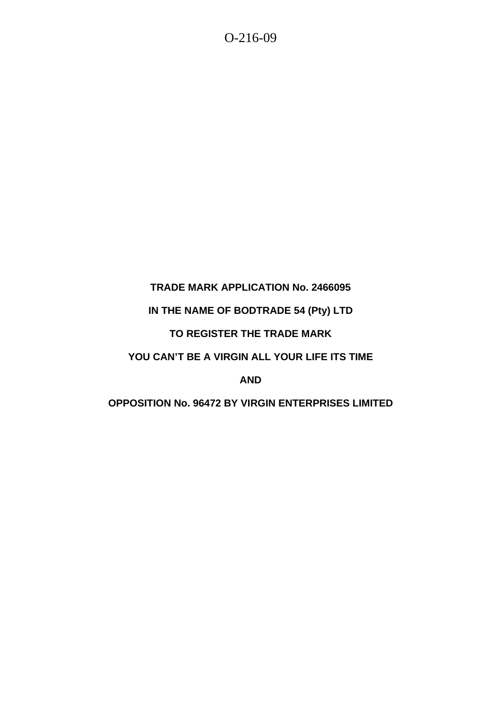## **TRADE MARK APPLICATION No. 2466095**

## **IN THE NAME OF BODTRADE 54 (Pty) LTD**

## **TO REGISTER THE TRADE MARK**

# **YOU CAN'T BE A VIRGIN ALL YOUR LIFE ITS TIME**

## **AND**

## **OPPOSITION No. 96472 BY VIRGIN ENTERPRISES LIMITED**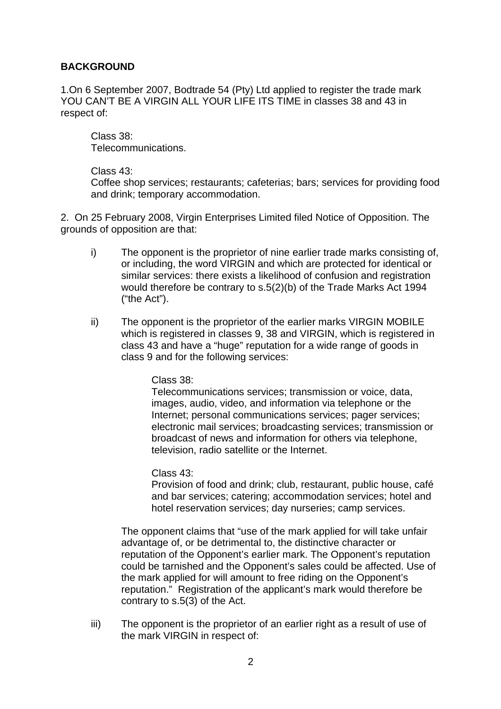#### **BACKGROUND**

1.On 6 September 2007, Bodtrade 54 (Pty) Ltd applied to register the trade mark YOU CAN'T BE A VIRGIN ALL YOUR LIFE ITS TIME in classes 38 and 43 in respect of:

 Class 38: Telecommunications.

#### Class 43:

Coffee shop services; restaurants; cafeterias; bars; services for providing food and drink; temporary accommodation.

2. On 25 February 2008, Virgin Enterprises Limited filed Notice of Opposition. The grounds of opposition are that:

- i) The opponent is the proprietor of nine earlier trade marks consisting of, or including, the word VIRGIN and which are protected for identical or similar services: there exists a likelihood of confusion and registration would therefore be contrary to s.5(2)(b) of the Trade Marks Act 1994 ("the Act").
- ii) The opponent is the proprietor of the earlier marks VIRGIN MOBILE which is registered in classes 9, 38 and VIRGIN, which is registered in class 43 and have a "huge" reputation for a wide range of goods in class 9 and for the following services:

Class 38:

Telecommunications services; transmission or voice, data, images, audio, video, and information via telephone or the Internet; personal communications services; pager services; electronic mail services; broadcasting services; transmission or broadcast of news and information for others via telephone, television, radio satellite or the Internet.

Class 43:

Provision of food and drink; club, restaurant, public house, café and bar services; catering; accommodation services; hotel and hotel reservation services; day nurseries; camp services.

The opponent claims that "use of the mark applied for will take unfair advantage of, or be detrimental to, the distinctive character or reputation of the Opponent's earlier mark. The Opponent's reputation could be tarnished and the Opponent's sales could be affected. Use of the mark applied for will amount to free riding on the Opponent's reputation." Registration of the applicant's mark would therefore be contrary to s.5(3) of the Act.

iii) The opponent is the proprietor of an earlier right as a result of use of the mark VIRGIN in respect of: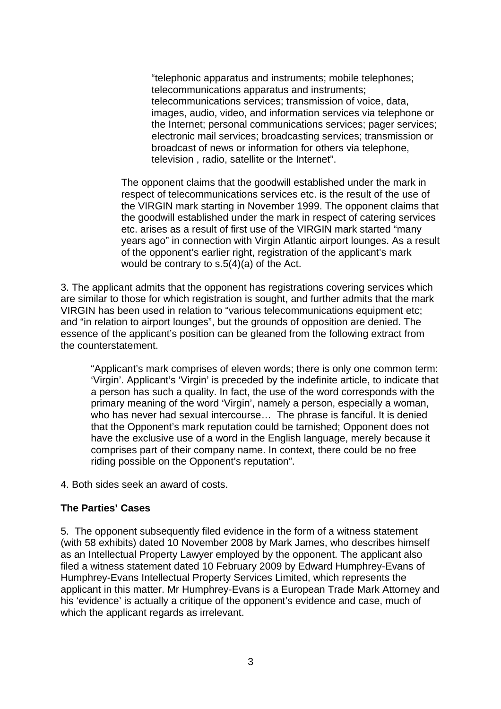"telephonic apparatus and instruments; mobile telephones; telecommunications apparatus and instruments; telecommunications services; transmission of voice, data, images, audio, video, and information services via telephone or the Internet; personal communications services; pager services; electronic mail services; broadcasting services; transmission or broadcast of news or information for others via telephone, television , radio, satellite or the Internet".

The opponent claims that the goodwill established under the mark in respect of telecommunications services etc. is the result of the use of the VIRGIN mark starting in November 1999. The opponent claims that the goodwill established under the mark in respect of catering services etc. arises as a result of first use of the VIRGIN mark started "many years ago" in connection with Virgin Atlantic airport lounges. As a result of the opponent's earlier right, registration of the applicant's mark would be contrary to s.5(4)(a) of the Act.

3. The applicant admits that the opponent has registrations covering services which are similar to those for which registration is sought, and further admits that the mark VIRGIN has been used in relation to "various telecommunications equipment etc; and "in relation to airport lounges", but the grounds of opposition are denied. The essence of the applicant's position can be gleaned from the following extract from the counterstatement.

"Applicant's mark comprises of eleven words; there is only one common term: 'Virgin'. Applicant's 'Virgin' is preceded by the indefinite article, to indicate that a person has such a quality. In fact, the use of the word corresponds with the primary meaning of the word 'Virgin', namely a person, especially a woman, who has never had sexual intercourse… The phrase is fanciful. It is denied that the Opponent's mark reputation could be tarnished; Opponent does not have the exclusive use of a word in the English language, merely because it comprises part of their company name. In context, there could be no free riding possible on the Opponent's reputation".

4. Both sides seek an award of costs.

#### **The Parties' Cases**

5. The opponent subsequently filed evidence in the form of a witness statement (with 58 exhibits) dated 10 November 2008 by Mark James, who describes himself as an Intellectual Property Lawyer employed by the opponent. The applicant also filed a witness statement dated 10 February 2009 by Edward Humphrey-Evans of Humphrey-Evans Intellectual Property Services Limited, which represents the applicant in this matter. Mr Humphrey-Evans is a European Trade Mark Attorney and his 'evidence' is actually a critique of the opponent's evidence and case, much of which the applicant regards as irrelevant.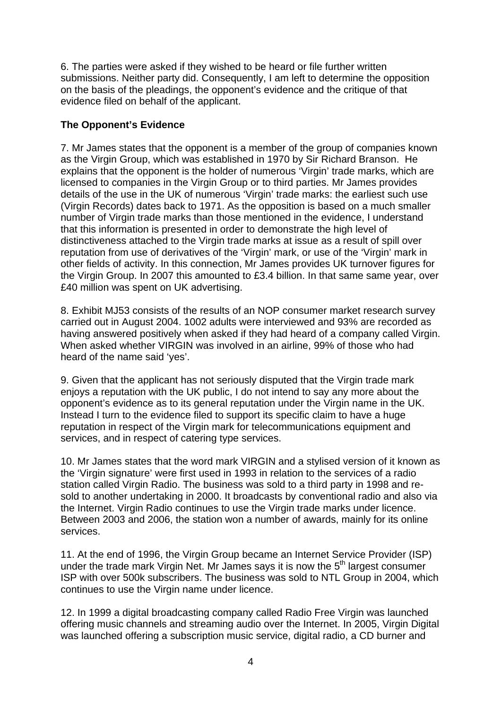6. The parties were asked if they wished to be heard or file further written submissions. Neither party did. Consequently, I am left to determine the opposition on the basis of the pleadings, the opponent's evidence and the critique of that evidence filed on behalf of the applicant.

## **The Opponent's Evidence**

7. Mr James states that the opponent is a member of the group of companies known as the Virgin Group, which was established in 1970 by Sir Richard Branson. He explains that the opponent is the holder of numerous 'Virgin' trade marks, which are licensed to companies in the Virgin Group or to third parties. Mr James provides details of the use in the UK of numerous 'Virgin' trade marks: the earliest such use (Virgin Records) dates back to 1971. As the opposition is based on a much smaller number of Virgin trade marks than those mentioned in the evidence, I understand that this information is presented in order to demonstrate the high level of distinctiveness attached to the Virgin trade marks at issue as a result of spill over reputation from use of derivatives of the 'Virgin' mark, or use of the 'Virgin' mark in other fields of activity. In this connection, Mr James provides UK turnover figures for the Virgin Group. In 2007 this amounted to £3.4 billion. In that same same year, over £40 million was spent on UK advertising.

8. Exhibit MJ53 consists of the results of an NOP consumer market research survey carried out in August 2004. 1002 adults were interviewed and 93% are recorded as having answered positively when asked if they had heard of a company called Virgin. When asked whether VIRGIN was involved in an airline, 99% of those who had heard of the name said 'yes'.

9. Given that the applicant has not seriously disputed that the Virgin trade mark enjoys a reputation with the UK public, I do not intend to say any more about the opponent's evidence as to its general reputation under the Virgin name in the UK. Instead I turn to the evidence filed to support its specific claim to have a huge reputation in respect of the Virgin mark for telecommunications equipment and services, and in respect of catering type services.

10. Mr James states that the word mark VIRGIN and a stylised version of it known as the 'Virgin signature' were first used in 1993 in relation to the services of a radio station called Virgin Radio. The business was sold to a third party in 1998 and resold to another undertaking in 2000. It broadcasts by conventional radio and also via the Internet. Virgin Radio continues to use the Virgin trade marks under licence. Between 2003 and 2006, the station won a number of awards, mainly for its online services.

11. At the end of 1996, the Virgin Group became an Internet Service Provider (ISP) under the trade mark Virgin Net. Mr James says it is now the  $5<sup>th</sup>$  largest consumer ISP with over 500k subscribers. The business was sold to NTL Group in 2004, which continues to use the Virgin name under licence.

12. In 1999 a digital broadcasting company called Radio Free Virgin was launched offering music channels and streaming audio over the Internet. In 2005, Virgin Digital was launched offering a subscription music service, digital radio, a CD burner and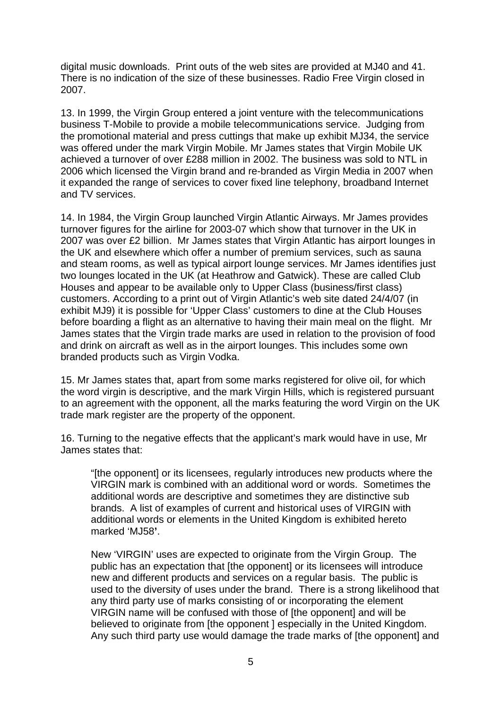digital music downloads. Print outs of the web sites are provided at MJ40 and 41. There is no indication of the size of these businesses. Radio Free Virgin closed in 2007.

13. In 1999, the Virgin Group entered a joint venture with the telecommunications business T-Mobile to provide a mobile telecommunications service. Judging from the promotional material and press cuttings that make up exhibit MJ34, the service was offered under the mark Virgin Mobile. Mr James states that Virgin Mobile UK achieved a turnover of over £288 million in 2002. The business was sold to NTL in 2006 which licensed the Virgin brand and re-branded as Virgin Media in 2007 when it expanded the range of services to cover fixed line telephony, broadband Internet and TV services.

14. In 1984, the Virgin Group launched Virgin Atlantic Airways. Mr James provides turnover figures for the airline for 2003-07 which show that turnover in the UK in 2007 was over £2 billion. Mr James states that Virgin Atlantic has airport lounges in the UK and elsewhere which offer a number of premium services, such as sauna and steam rooms, as well as typical airport lounge services. Mr James identifies just two lounges located in the UK (at Heathrow and Gatwick). These are called Club Houses and appear to be available only to Upper Class (business/first class) customers. According to a print out of Virgin Atlantic's web site dated 24/4/07 (in exhibit MJ9) it is possible for 'Upper Class' customers to dine at the Club Houses before boarding a flight as an alternative to having their main meal on the flight. Mr James states that the Virgin trade marks are used in relation to the provision of food and drink on aircraft as well as in the airport lounges. This includes some own branded products such as Virgin Vodka.

15. Mr James states that, apart from some marks registered for olive oil, for which the word virgin is descriptive, and the mark Virgin Hills, which is registered pursuant to an agreement with the opponent, all the marks featuring the word Virgin on the UK trade mark register are the property of the opponent.

16. Turning to the negative effects that the applicant's mark would have in use, Mr James states that:

"[the opponent] or its licensees, regularly introduces new products where the VIRGIN mark is combined with an additional word or words. Sometimes the additional words are descriptive and sometimes they are distinctive sub brands. A list of examples of current and historical uses of VIRGIN with additional words or elements in the United Kingdom is exhibited hereto marked 'MJ58**'**.

New 'VIRGIN' uses are expected to originate from the Virgin Group. The public has an expectation that [the opponent] or its licensees will introduce new and different products and services on a regular basis. The public is used to the diversity of uses under the brand. There is a strong likelihood that any third party use of marks consisting of or incorporating the element VIRGIN name will be confused with those of [the opponent] and will be believed to originate from [the opponent ] especially in the United Kingdom. Any such third party use would damage the trade marks of [the opponent] and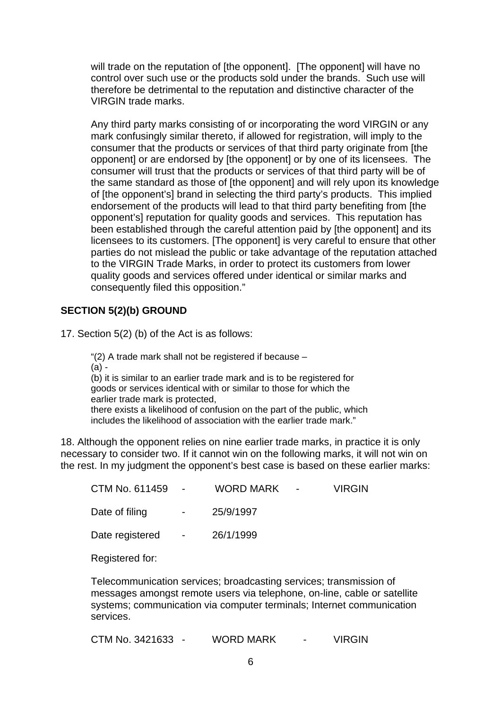will trade on the reputation of [the opponent]. [The opponent] will have no control over such use or the products sold under the brands. Such use will therefore be detrimental to the reputation and distinctive character of the VIRGIN trade marks.

Any third party marks consisting of or incorporating the word VIRGIN or any mark confusingly similar thereto, if allowed for registration, will imply to the consumer that the products or services of that third party originate from [the opponent] or are endorsed by [the opponent] or by one of its licensees. The consumer will trust that the products or services of that third party will be of the same standard as those of [the opponent] and will rely upon its knowledge of [the opponent's] brand in selecting the third party's products. This implied endorsement of the products will lead to that third party benefiting from [the opponent's] reputation for quality goods and services. This reputation has been established through the careful attention paid by [the opponent] and its licensees to its customers. [The opponent] is very careful to ensure that other parties do not mislead the public or take advantage of the reputation attached to the VIRGIN Trade Marks, in order to protect its customers from lower quality goods and services offered under identical or similar marks and consequently filed this opposition."

## **SECTION 5(2)(b) GROUND**

17. Section 5(2) (b) of the Act is as follows:

"(2) A trade mark shall not be registered if because –

(a) -

(b) it is similar to an earlier trade mark and is to be registered for goods or services identical with or similar to those for which the earlier trade mark is protected,

there exists a likelihood of confusion on the part of the public, which includes the likelihood of association with the earlier trade mark."

18. Although the opponent relies on nine earlier trade marks, in practice it is only necessary to consider two. If it cannot win on the following marks, it will not win on the rest. In my judgment the opponent's best case is based on these earlier marks:

| CTM No. 611459 - |                      | WORD MARK - | <b>VIRGIN</b> |
|------------------|----------------------|-------------|---------------|
| Date of filing   | $\sim 100$           | 25/9/1997   |               |
| Date registered  | $\sim 100$ m $^{-1}$ | 26/1/1999   |               |
|                  |                      |             |               |

Registered for:

Telecommunication services; broadcasting services; transmission of messages amongst remote users via telephone, on-line, cable or satellite systems; communication via computer terminals; Internet communication services.

CTM No. 3421633 - WORD MARK - VIRGIN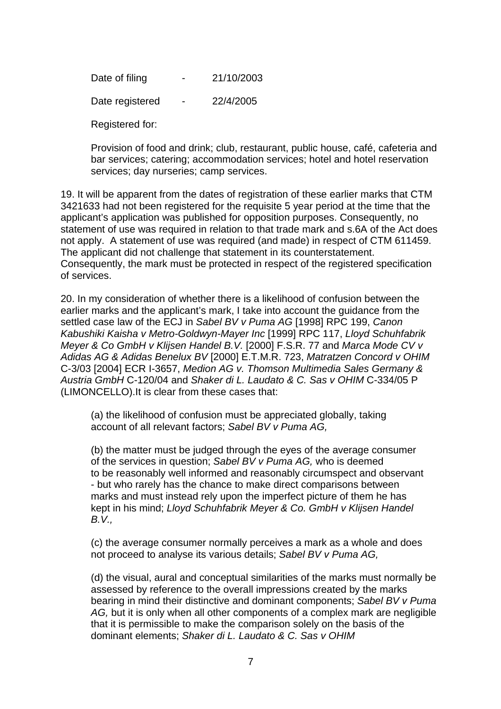Date of filing  $- 21/10/2003$ Date registered - 22/4/2005

Registered for:

Provision of food and drink; club, restaurant, public house, café, cafeteria and bar services; catering; accommodation services; hotel and hotel reservation services; day nurseries; camp services.

19. It will be apparent from the dates of registration of these earlier marks that CTM 3421633 had not been registered for the requisite 5 year period at the time that the applicant's application was published for opposition purposes. Consequently, no statement of use was required in relation to that trade mark and s.6A of the Act does not apply. A statement of use was required (and made) in respect of CTM 611459. The applicant did not challenge that statement in its counterstatement. Consequently, the mark must be protected in respect of the registered specification of services.

20. In my consideration of whether there is a likelihood of confusion between the earlier marks and the applicant's mark, I take into account the guidance from the settled case law of the ECJ in *Sabel BV v Puma AG* [1998] RPC 199, *Canon Kabushiki Kaisha v Metro-Goldwyn-Mayer Inc* [1999] RPC 117, *Lloyd Schuhfabrik Meyer & Co GmbH v Klijsen Handel B.V.* [2000] F.S.R. 77 and *Marca Mode CV v Adidas AG & Adidas Benelux BV* [2000] E.T.M.R. 723, *Matratzen Concord v OHIM*  C-3/03 [2004] ECR I-3657, *Medion AG v. Thomson Multimedia Sales Germany & Austria GmbH* C-120/04 and *Shaker di L. Laudato & C. Sas v OHIM* C-334/05 P (LIMONCELLO).It is clear from these cases that:

(a) the likelihood of confusion must be appreciated globally, taking account of all relevant factors; *Sabel BV v Puma AG,* 

(b) the matter must be judged through the eyes of the average consumer of the services in question; *Sabel BV v Puma AG,* who is deemed to be reasonably well informed and reasonably circumspect and observant - but who rarely has the chance to make direct comparisons between marks and must instead rely upon the imperfect picture of them he has kept in his mind; *Lloyd Schuhfabrik Meyer & Co. GmbH v Klijsen Handel B.V.,* 

(c) the average consumer normally perceives a mark as a whole and does not proceed to analyse its various details; *Sabel BV v Puma AG,* 

(d) the visual, aural and conceptual similarities of the marks must normally be assessed by reference to the overall impressions created by the marks bearing in mind their distinctive and dominant components; *Sabel BV v Puma AG,* but it is only when all other components of a complex mark are negligible that it is permissible to make the comparison solely on the basis of the dominant elements; *Shaker di L. Laudato & C. Sas v OHIM*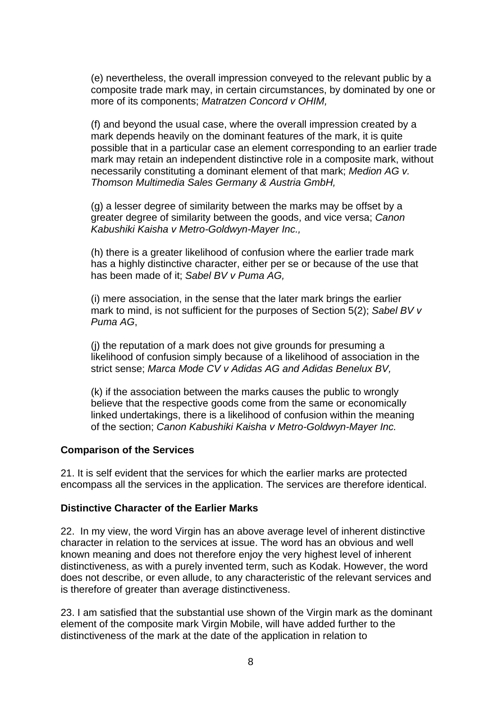(e) nevertheless, the overall impression conveyed to the relevant public by a composite trade mark may, in certain circumstances, by dominated by one or more of its components; *Matratzen Concord v OHIM,* 

(f) and beyond the usual case, where the overall impression created by a mark depends heavily on the dominant features of the mark, it is quite possible that in a particular case an element corresponding to an earlier trade mark may retain an independent distinctive role in a composite mark, without necessarily constituting a dominant element of that mark; *Medion AG v. Thomson Multimedia Sales Germany & Austria GmbH,* 

(g) a lesser degree of similarity between the marks may be offset by a greater degree of similarity between the goods, and vice versa; *Canon Kabushiki Kaisha v Metro-Goldwyn-Mayer Inc.,* 

(h) there is a greater likelihood of confusion where the earlier trade mark has a highly distinctive character, either per se or because of the use that has been made of it; *Sabel BV v Puma AG,* 

(i) mere association, in the sense that the later mark brings the earlier mark to mind, is not sufficient for the purposes of Section 5(2); *Sabel BV v Puma AG*,

(j) the reputation of a mark does not give grounds for presuming a likelihood of confusion simply because of a likelihood of association in the strict sense; *Marca Mode CV v Adidas AG and Adidas Benelux BV,* 

(k) if the association between the marks causes the public to wrongly believe that the respective goods come from the same or economically linked undertakings, there is a likelihood of confusion within the meaning of the section; *Canon Kabushiki Kaisha v Metro-Goldwyn-Mayer Inc.* 

#### **Comparison of the Services**

21. It is self evident that the services for which the earlier marks are protected encompass all the services in the application. The services are therefore identical.

#### **Distinctive Character of the Earlier Marks**

22. In my view, the word Virgin has an above average level of inherent distinctive character in relation to the services at issue. The word has an obvious and well known meaning and does not therefore enjoy the very highest level of inherent distinctiveness, as with a purely invented term, such as Kodak. However, the word does not describe, or even allude, to any characteristic of the relevant services and is therefore of greater than average distinctiveness.

23. I am satisfied that the substantial use shown of the Virgin mark as the dominant element of the composite mark Virgin Mobile, will have added further to the distinctiveness of the mark at the date of the application in relation to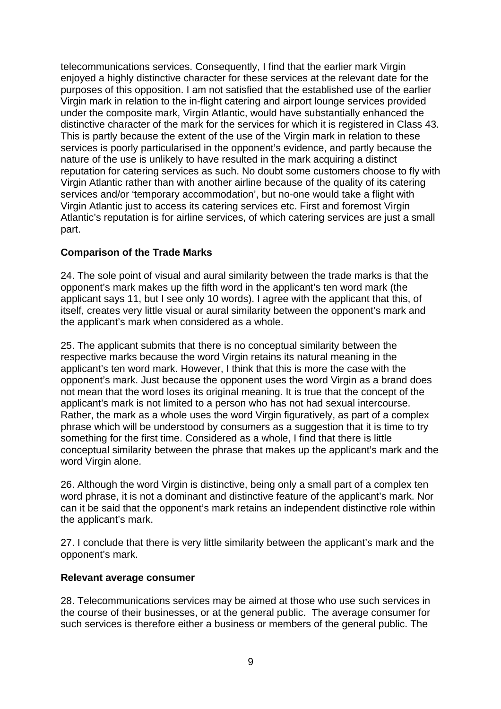telecommunications services. Consequently, I find that the earlier mark Virgin enjoyed a highly distinctive character for these services at the relevant date for the purposes of this opposition. I am not satisfied that the established use of the earlier Virgin mark in relation to the in-flight catering and airport lounge services provided under the composite mark, Virgin Atlantic, would have substantially enhanced the distinctive character of the mark for the services for which it is registered in Class 43. This is partly because the extent of the use of the Virgin mark in relation to these services is poorly particularised in the opponent's evidence, and partly because the nature of the use is unlikely to have resulted in the mark acquiring a distinct reputation for catering services as such. No doubt some customers choose to fly with Virgin Atlantic rather than with another airline because of the quality of its catering services and/or 'temporary accommodation', but no-one would take a flight with Virgin Atlantic just to access its catering services etc. First and foremost Virgin Atlantic's reputation is for airline services, of which catering services are just a small part.

### **Comparison of the Trade Marks**

24. The sole point of visual and aural similarity between the trade marks is that the opponent's mark makes up the fifth word in the applicant's ten word mark (the applicant says 11, but I see only 10 words). I agree with the applicant that this, of itself, creates very little visual or aural similarity between the opponent's mark and the applicant's mark when considered as a whole.

25. The applicant submits that there is no conceptual similarity between the respective marks because the word Virgin retains its natural meaning in the applicant's ten word mark. However, I think that this is more the case with the opponent's mark. Just because the opponent uses the word Virgin as a brand does not mean that the word loses its original meaning. It is true that the concept of the applicant's mark is not limited to a person who has not had sexual intercourse. Rather, the mark as a whole uses the word Virgin figuratively, as part of a complex phrase which will be understood by consumers as a suggestion that it is time to try something for the first time. Considered as a whole, I find that there is little conceptual similarity between the phrase that makes up the applicant's mark and the word Virgin alone.

26. Although the word Virgin is distinctive, being only a small part of a complex ten word phrase, it is not a dominant and distinctive feature of the applicant's mark. Nor can it be said that the opponent's mark retains an independent distinctive role within the applicant's mark.

27. I conclude that there is very little similarity between the applicant's mark and the opponent's mark.

#### **Relevant average consumer**

28. Telecommunications services may be aimed at those who use such services in the course of their businesses, or at the general public. The average consumer for such services is therefore either a business or members of the general public. The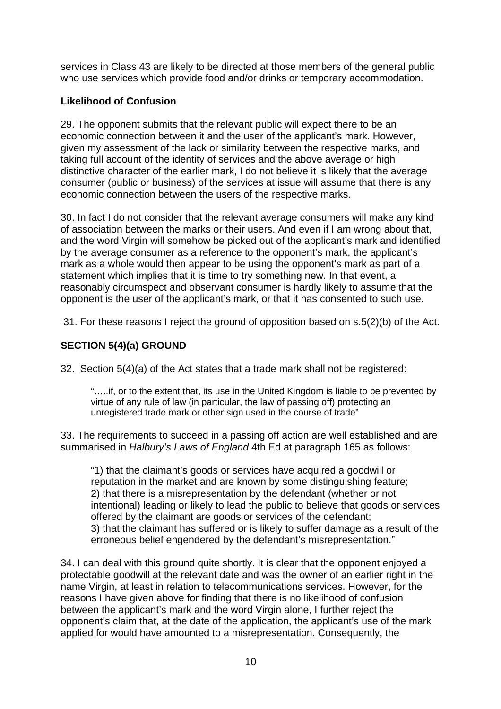services in Class 43 are likely to be directed at those members of the general public who use services which provide food and/or drinks or temporary accommodation.

## **Likelihood of Confusion**

29. The opponent submits that the relevant public will expect there to be an economic connection between it and the user of the applicant's mark. However, given my assessment of the lack or similarity between the respective marks, and taking full account of the identity of services and the above average or high distinctive character of the earlier mark, I do not believe it is likely that the average consumer (public or business) of the services at issue will assume that there is any economic connection between the users of the respective marks.

30. In fact I do not consider that the relevant average consumers will make any kind of association between the marks or their users. And even if I am wrong about that, and the word Virgin will somehow be picked out of the applicant's mark and identified by the average consumer as a reference to the opponent's mark, the applicant's mark as a whole would then appear to be using the opponent's mark as part of a statement which implies that it is time to try something new. In that event, a reasonably circumspect and observant consumer is hardly likely to assume that the opponent is the user of the applicant's mark, or that it has consented to such use.

31. For these reasons I reject the ground of opposition based on s.5(2)(b) of the Act.

# **SECTION 5(4)(a) GROUND**

32. Section 5(4)(a) of the Act states that a trade mark shall not be registered:

"…..if, or to the extent that, its use in the United Kingdom is liable to be prevented by virtue of any rule of law (in particular, the law of passing off) protecting an unregistered trade mark or other sign used in the course of trade"

33. The requirements to succeed in a passing off action are well established and are summarised in *Halbury's Laws of England* 4th Ed at paragraph 165 as follows:

"1) that the claimant's goods or services have acquired a goodwill or reputation in the market and are known by some distinguishing feature; 2) that there is a misrepresentation by the defendant (whether or not intentional) leading or likely to lead the public to believe that goods or services offered by the claimant are goods or services of the defendant; 3) that the claimant has suffered or is likely to suffer damage as a result of the erroneous belief engendered by the defendant's misrepresentation."

34. I can deal with this ground quite shortly. It is clear that the opponent enjoyed a protectable goodwill at the relevant date and was the owner of an earlier right in the name Virgin, at least in relation to telecommunications services. However, for the reasons I have given above for finding that there is no likelihood of confusion between the applicant's mark and the word Virgin alone, I further reject the opponent's claim that, at the date of the application, the applicant's use of the mark applied for would have amounted to a misrepresentation. Consequently, the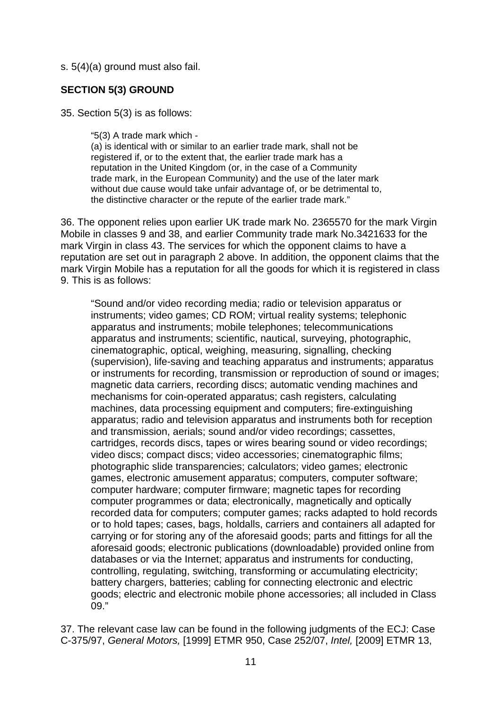s. 5(4)(a) ground must also fail.

### **SECTION 5(3) GROUND**

35. Section 5(3) is as follows:

"5(3) A trade mark which -

(a) is identical with or similar to an earlier trade mark, shall not be registered if, or to the extent that, the earlier trade mark has a reputation in the United Kingdom (or, in the case of a Community trade mark, in the European Community) and the use of the later mark without due cause would take unfair advantage of, or be detrimental to, the distinctive character or the repute of the earlier trade mark."

36. The opponent relies upon earlier UK trade mark No. 2365570 for the mark Virgin Mobile in classes 9 and 38, and earlier Community trade mark No.3421633 for the mark Virgin in class 43. The services for which the opponent claims to have a reputation are set out in paragraph 2 above. In addition, the opponent claims that the mark Virgin Mobile has a reputation for all the goods for which it is registered in class 9. This is as follows:

"Sound and/or video recording media; radio or television apparatus or instruments; video games; CD ROM; virtual reality systems; telephonic apparatus and instruments; mobile telephones; telecommunications apparatus and instruments; scientific, nautical, surveying, photographic, cinematographic, optical, weighing, measuring, signalling, checking (supervision), life-saving and teaching apparatus and instruments; apparatus or instruments for recording, transmission or reproduction of sound or images; magnetic data carriers, recording discs; automatic vending machines and mechanisms for coin-operated apparatus; cash registers, calculating machines, data processing equipment and computers; fire-extinguishing apparatus; radio and television apparatus and instruments both for reception and transmission, aerials; sound and/or video recordings; cassettes, cartridges, records discs, tapes or wires bearing sound or video recordings; video discs; compact discs; video accessories; cinematographic films; photographic slide transparencies; calculators; video games; electronic games, electronic amusement apparatus; computers, computer software; computer hardware; computer firmware; magnetic tapes for recording computer programmes or data; electronically, magnetically and optically recorded data for computers; computer games; racks adapted to hold records or to hold tapes; cases, bags, holdalls, carriers and containers all adapted for carrying or for storing any of the aforesaid goods; parts and fittings for all the aforesaid goods; electronic publications (downloadable) provided online from databases or via the Internet; apparatus and instruments for conducting, controlling, regulating, switching, transforming or accumulating electricity; battery chargers, batteries; cabling for connecting electronic and electric goods; electric and electronic mobile phone accessories; all included in Class 09."

37. The relevant case law can be found in the following judgments of the ECJ: Case C-375/97, *General Motors,* [1999] ETMR 950, Case 252/07, *Intel,* [2009] ETMR 13,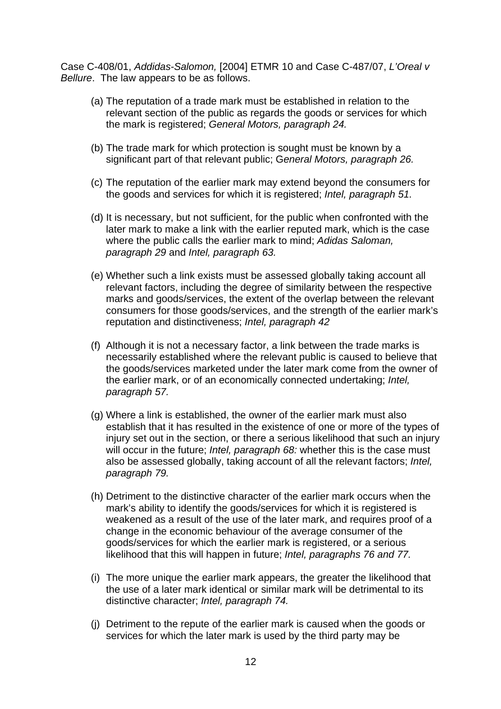Case C-408/01, *Addidas-Salomon,* [2004] ETMR 10 and Case C-487/07, *L'Oreal v Bellure*. The law appears to be as follows.

- (a) The reputation of a trade mark must be established in relation to the relevant section of the public as regards the goods or services for which the mark is registered; *General Motors, paragraph 24.*
- (b) The trade mark for which protection is sought must be known by a significant part of that relevant public; G*eneral Motors, paragraph 26.*
- (c) The reputation of the earlier mark may extend beyond the consumers for the goods and services for which it is registered; *Intel, paragraph 51.*
- (d) It is necessary, but not sufficient, for the public when confronted with the later mark to make a link with the earlier reputed mark, which is the case where the public calls the earlier mark to mind; *Adidas Saloman, paragraph 29* and *Intel, paragraph 63.*
- (e) Whether such a link exists must be assessed globally taking account all relevant factors, including the degree of similarity between the respective marks and goods/services, the extent of the overlap between the relevant consumers for those goods/services, and the strength of the earlier mark's reputation and distinctiveness; *Intel, paragraph 42*
- (f) Although it is not a necessary factor, a link between the trade marks is necessarily established where the relevant public is caused to believe that the goods/services marketed under the later mark come from the owner of the earlier mark, or of an economically connected undertaking; *Intel, paragraph 57.*
- (g) Where a link is established, the owner of the earlier mark must also establish that it has resulted in the existence of one or more of the types of injury set out in the section, or there a serious likelihood that such an injury will occur in the future; *Intel, paragraph 68:* whether this is the case must also be assessed globally, taking account of all the relevant factors; *Intel, paragraph 79.*
- (h) Detriment to the distinctive character of the earlier mark occurs when the mark's ability to identify the goods/services for which it is registered is weakened as a result of the use of the later mark, and requires proof of a change in the economic behaviour of the average consumer of the goods/services for which the earlier mark is registered, or a serious likelihood that this will happen in future; *Intel, paragraphs 76 and 77.*
- (i) The more unique the earlier mark appears, the greater the likelihood that the use of a later mark identical or similar mark will be detrimental to its distinctive character; *Intel, paragraph 74.*
- (j) Detriment to the repute of the earlier mark is caused when the goods or services for which the later mark is used by the third party may be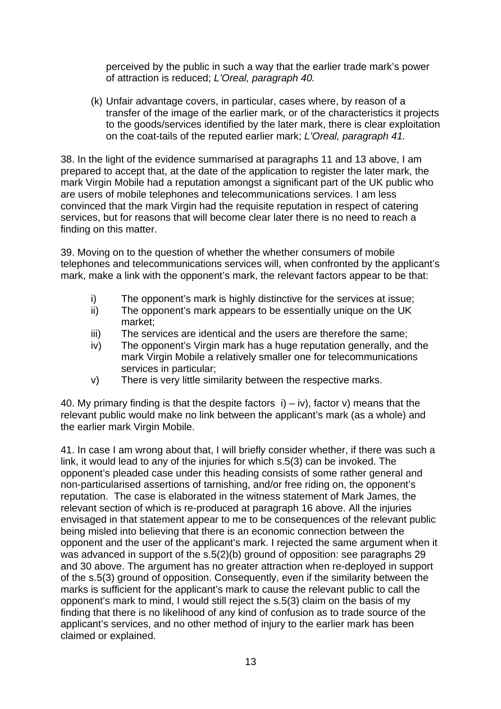perceived by the public in such a way that the earlier trade mark's power of attraction is reduced; *L'Oreal, paragraph 40.*

(k) Unfair advantage covers, in particular, cases where, by reason of a transfer of the image of the earlier mark, or of the characteristics it projects to the goods/services identified by the later mark, there is clear exploitation on the coat-tails of the reputed earlier mark; *L'Oreal, paragraph 41.*

38. In the light of the evidence summarised at paragraphs 11 and 13 above, I am prepared to accept that, at the date of the application to register the later mark, the mark Virgin Mobile had a reputation amongst a significant part of the UK public who are users of mobile telephones and telecommunications services. I am less convinced that the mark Virgin had the requisite reputation in respect of catering services, but for reasons that will become clear later there is no need to reach a finding on this matter.

39. Moving on to the question of whether the whether consumers of mobile telephones and telecommunications services will, when confronted by the applicant's mark, make a link with the opponent's mark, the relevant factors appear to be that:

- i) The opponent's mark is highly distinctive for the services at issue;
- ii) The opponent's mark appears to be essentially unique on the UK market;
- iii) The services are identical and the users are therefore the same;
- iv) The opponent's Virgin mark has a huge reputation generally, and the mark Virgin Mobile a relatively smaller one for telecommunications services in particular;
- v) There is very little similarity between the respective marks.

40. My primary finding is that the despite factors  $i$ ) – iv), factor v) means that the relevant public would make no link between the applicant's mark (as a whole) and the earlier mark Virgin Mobile.

41. In case I am wrong about that, I will briefly consider whether, if there was such a link, it would lead to any of the injuries for which s.5(3) can be invoked. The opponent's pleaded case under this heading consists of some rather general and non-particularised assertions of tarnishing, and/or free riding on, the opponent's reputation. The case is elaborated in the witness statement of Mark James, the relevant section of which is re-produced at paragraph 16 above. All the injuries envisaged in that statement appear to me to be consequences of the relevant public being misled into believing that there is an economic connection between the opponent and the user of the applicant's mark. I rejected the same argument when it was advanced in support of the s.5(2)(b) ground of opposition: see paragraphs 29 and 30 above. The argument has no greater attraction when re-deployed in support of the s.5(3) ground of opposition. Consequently, even if the similarity between the marks is sufficient for the applicant's mark to cause the relevant public to call the opponent's mark to mind, I would still reject the s.5(3) claim on the basis of my finding that there is no likelihood of any kind of confusion as to trade source of the applicant's services, and no other method of injury to the earlier mark has been claimed or explained.